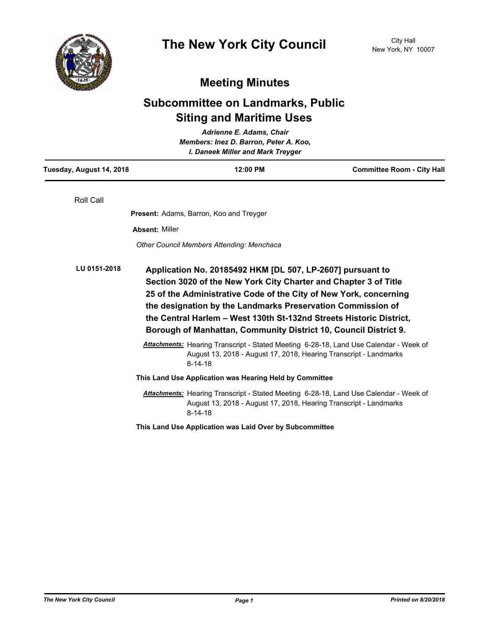

## **Meeting Minutes**

## **Subcommittee on Landmarks, Public Siting and Maritime Uses**

| Adrienne E. Adams, Chair<br>Members: Inez D. Barron, Peter A. Koo,<br>I. Daneek Miller and Mark Treyger |                       |                                                                                                                                                                                                                                                                                                                                                                                                               |                                   |  |
|---------------------------------------------------------------------------------------------------------|-----------------------|---------------------------------------------------------------------------------------------------------------------------------------------------------------------------------------------------------------------------------------------------------------------------------------------------------------------------------------------------------------------------------------------------------------|-----------------------------------|--|
| Tuesday, August 14, 2018                                                                                |                       | 12:00 PM                                                                                                                                                                                                                                                                                                                                                                                                      | <b>Committee Room - City Hall</b> |  |
| Roll Call                                                                                               |                       |                                                                                                                                                                                                                                                                                                                                                                                                               |                                   |  |
|                                                                                                         |                       | Present: Adams, Barron, Koo and Treyger                                                                                                                                                                                                                                                                                                                                                                       |                                   |  |
|                                                                                                         | <b>Absent: Miller</b> |                                                                                                                                                                                                                                                                                                                                                                                                               |                                   |  |
|                                                                                                         |                       | <b>Other Council Members Attending: Menchaca</b>                                                                                                                                                                                                                                                                                                                                                              |                                   |  |
| LU 0151-2018                                                                                            |                       | Application No. 20185492 HKM [DL 507, LP-2607] pursuant to<br>Section 3020 of the New York City Charter and Chapter 3 of Title<br>25 of the Administrative Code of the City of New York, concerning<br>the designation by the Landmarks Preservation Commission of<br>the Central Harlem - West 130th St-132nd Streets Historic District,<br>Borough of Manhattan, Community District 10, Council District 9. |                                   |  |
|                                                                                                         |                       | Attachments: Hearing Transcript - Stated Meeting 6-28-18, Land Use Calendar - Week of<br>August 13, 2018 - August 17, 2018, Hearing Transcript - Landmarks<br>$8 - 14 - 18$                                                                                                                                                                                                                                   |                                   |  |
|                                                                                                         |                       | This Land Use Application was Hearing Held by Committee                                                                                                                                                                                                                                                                                                                                                       |                                   |  |
|                                                                                                         |                       | <b>Attachments:</b> Hearing Transcript - Stated Meeting 6-28-18, Land Use Calendar - Week of<br>August 13, 2018 - August 17, 2018, Hearing Transcript - Landmarks<br>$8 - 14 - 18$                                                                                                                                                                                                                            |                                   |  |
|                                                                                                         |                       | This Land Use Application was Laid Over by Subcommittee                                                                                                                                                                                                                                                                                                                                                       |                                   |  |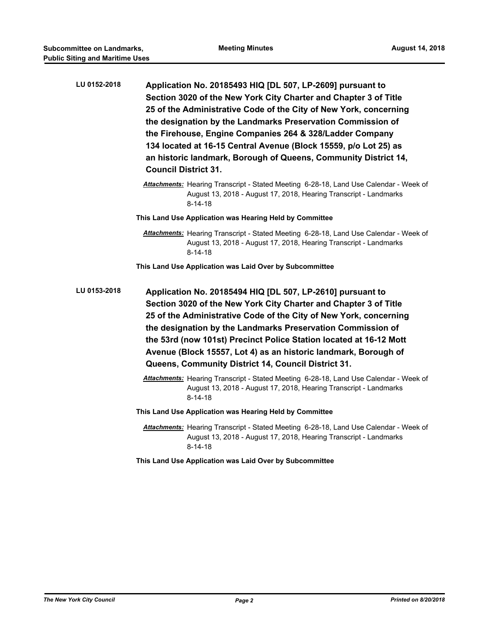| LU 0152-2018 | Application No. 20185493 HIQ [DL 507, LP-2609] pursuant to<br>Section 3020 of the New York City Charter and Chapter 3 of Title<br>25 of the Administrative Code of the City of New York, concerning<br>the designation by the Landmarks Preservation Commission of<br>the Firehouse, Engine Companies 264 & 328/Ladder Company<br>134 located at 16-15 Central Avenue (Block 15559, p/o Lot 25) as<br>an historic landmark, Borough of Queens, Community District 14,<br><b>Council District 31.</b><br>Attachments: Hearing Transcript - Stated Meeting 6-28-18, Land Use Calendar - Week of |
|--------------|-----------------------------------------------------------------------------------------------------------------------------------------------------------------------------------------------------------------------------------------------------------------------------------------------------------------------------------------------------------------------------------------------------------------------------------------------------------------------------------------------------------------------------------------------------------------------------------------------|
|              | August 13, 2018 - August 17, 2018, Hearing Transcript - Landmarks<br>$8 - 14 - 18$                                                                                                                                                                                                                                                                                                                                                                                                                                                                                                            |
|              | This Land Use Application was Hearing Held by Committee                                                                                                                                                                                                                                                                                                                                                                                                                                                                                                                                       |
|              | Attachments: Hearing Transcript - Stated Meeting 6-28-18, Land Use Calendar - Week of<br>August 13, 2018 - August 17, 2018, Hearing Transcript - Landmarks<br>$8 - 14 - 18$                                                                                                                                                                                                                                                                                                                                                                                                                   |
|              | This Land Use Application was Laid Over by Subcommittee                                                                                                                                                                                                                                                                                                                                                                                                                                                                                                                                       |
| LU 0153-2018 | Application No. 20185494 HIQ [DL 507, LP-2610] pursuant to<br>Section 3020 of the New York City Charter and Chapter 3 of Title<br>25 of the Administrative Code of the City of New York, concerning<br>the designation by the Landmarks Preservation Commission of<br>the 53rd (now 101st) Precinct Police Station located at 16-12 Mott<br>Avenue (Block 15557, Lot 4) as an historic landmark, Borough of<br>Queens, Community District 14, Council District 31.                                                                                                                            |
|              | Attachments: Hearing Transcript - Stated Meeting 6-28-18, Land Use Calendar - Week of<br>August 13, 2018 - August 17, 2018, Hearing Transcript - Landmarks<br>$8 - 14 - 18$                                                                                                                                                                                                                                                                                                                                                                                                                   |
|              | This Land Use Application was Hearing Held by Committee                                                                                                                                                                                                                                                                                                                                                                                                                                                                                                                                       |
|              | Attachments: Hearing Transcript - Stated Meeting 6-28-18, Land Use Calendar - Week of<br>August 13, 2018 - August 17, 2018, Hearing Transcript - Landmarks<br>$8 - 14 - 18$                                                                                                                                                                                                                                                                                                                                                                                                                   |

**This Land Use Application was Laid Over by Subcommittee**